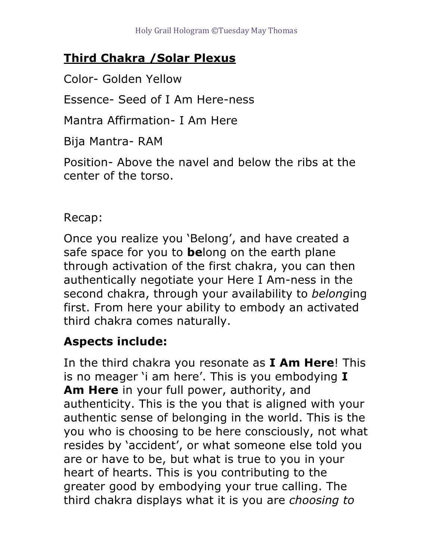## **Third Chakra /Solar Plexus**

Color- Golden Yellow

Essence- Seed of I Am Here-ness

Mantra Affirmation- I Am Here

Bija Mantra- RAM

Position- Above the navel and below the ribs at the center of the torso.

Recap:

Once you realize you 'Belong', and have created a safe space for you to **be**long on the earth plane through activation of the first chakra, you can then authentically negotiate your Here I Am-ness in the second chakra, through your availability to *belong*ing first. From here your ability to embody an activated third chakra comes naturally.

## **Aspects include:**

In the third chakra you resonate as **I Am Here**! This is no meager 'i am here'. This is you embodying **I Am Here** in your full power, authority, and authenticity. This is the you that is aligned with your authentic sense of belonging in the world. This is the you who is choosing to be here consciously, not what resides by 'accident', or what someone else told you are or have to be, but what is true to you in your heart of hearts. This is you contributing to the greater good by embodying your true calling. The third chakra displays what it is you are *choosing to*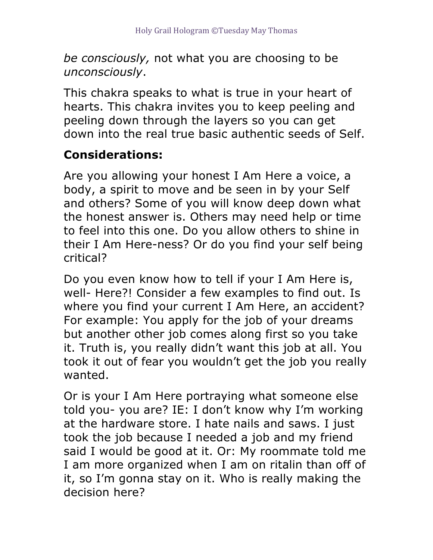*be consciously,* not what you are choosing to be *unconsciously*.

This chakra speaks to what is true in your heart of hearts. This chakra invites you to keep peeling and peeling down through the layers so you can get down into the real true basic authentic seeds of Self.

## **Considerations:**

Are you allowing your honest I Am Here a voice, a body, a spirit to move and be seen in by your Self and others? Some of you will know deep down what the honest answer is. Others may need help or time to feel into this one. Do you allow others to shine in their I Am Here-ness? Or do you find your self being critical?

Do you even know how to tell if your I Am Here is, well- Here?! Consider a few examples to find out. Is where you find your current I Am Here, an accident? For example: You apply for the job of your dreams but another other job comes along first so you take it. Truth is, you really didn't want this job at all. You took it out of fear you wouldn't get the job you really wanted.

Or is your I Am Here portraying what someone else told you- you are? IE: I don't know why I'm working at the hardware store. I hate nails and saws. I just took the job because I needed a job and my friend said I would be good at it. Or: My roommate told me I am more organized when I am on ritalin than off of it, so I'm gonna stay on it. Who is really making the decision here?